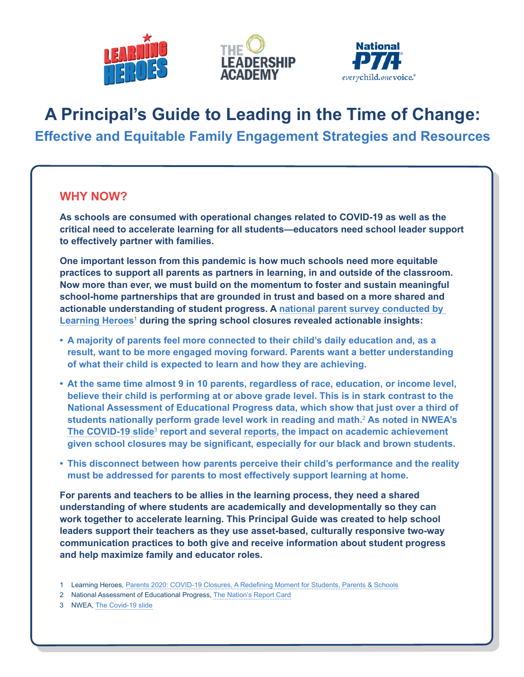





# **A Principal's Guide to Leading in the Time of Change: Effective and Equitable Family Engagement Strategies and Resources**

### **WHY NOW?**

**As schools are consumed with operational changes related to COVID-19 as well as the critical need to accelerate learning for all students—educators need school leader support to effectively partner with families.** 

**One important lesson from this pandemic is how much schools need more equitable practices to support all parents as partners in learning, in and outside of the classroom. Now more than ever, we must build on the momentum to foster and sustain meaningful school-home partnerships that are grounded in trust and based on a more shared and actionable understanding of student progress. A [national parent survey conducted by](https://bealearninghero.org/research/)  [Learning Heroes](https://bealearninghero.org/research/)**<sup>1</sup>  **during the spring school closures revealed actionable insights:**

- **• A majority of parents feel more connected to their child's daily education and, as a result, want to be more engaged moving forward. Parents want a better understanding of what their child is expected to learn and how they are achieving.**
- **• At the same time almost 9 in 10 parents, regardless of race, education, or income level, believe their child is performing at or above grade level. This is in stark contrast to the National Assessment of Educational Progress data, which show that just over a third of students nationally perform grade level work in reading and math.**<sup>2</sup>  **As noted in NWEA's [The COVID-19 slide](https://www.nwea.org/content/uploads/2020/05/Collaborative-Brief_Covid19-Slide-APR20.pdf)**<sup>3</sup>  **report and several [reports,](https://www.mckinsey.com/industries/public-and-social-sector/our-insights/covid-19-and-learning-loss-disparities-grow-and-students-need-help) the impact on academic achievement given school closures may be significant, especially for our black and brown students.**
- **• This disconnect between how parents perceive their child's performance and the reality must be addressed for parents to most effectively support learning at home.**

**For parents and teachers to be allies in the learning process, they need a shared understanding of where students are academically and developmentally so they can work together to accelerate learning. This Principal Guide was created to help school leaders support their teachers as they use asset-based, culturally responsive two-way communication practices to both give and receive information about student progress and help maximize family and educator roles.**

- 1 Learning Heroes, [Parents 2020: COVID-19 Closures, A Redefining Moment for Students, Parents &](https://r50gh2ss1ic2mww8s3uvjvq1-wpengine.netdna-ssl.com/wp-content/uploads/2020/05/LH_2020-Parent-Survey-Partner-1.pdf) Schools
- 2 National Assessment of Educational Progress, [The Nation's Report](https://nces.ed.gov/nationsreportcard/) Card
- 3 NWEA, [The Covid-19 slide](https://www.nwea.org/content/uploads/2020/05/Collaborative-Brief_Covid19-Slide-APR20.pdf)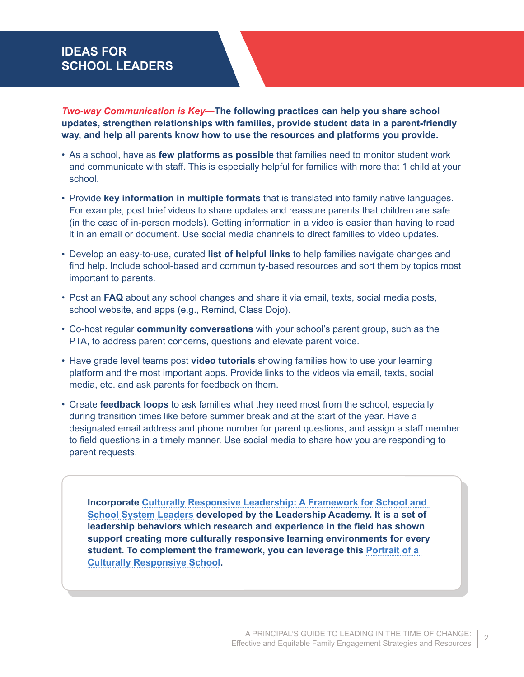## **IDEAS FOR SCHOOL LEADERS**

*Two-way Communication is Key—***The following practices can help you share school updates, strengthen relationships with families, provide student data in a parent-friendly way, and help all parents know how to use the resources and platforms you provide.**

- As a school, have as **few platforms as possible** that families need to monitor student work and communicate with staff. This is especially helpful for families with more that 1 child at your school.
- Provide **key information in multiple formats** that is translated into family native languages. For example, post brief videos to share updates and reassure parents that children are safe (in the case of in-person models). Getting information in a video is easier than having to read it in an email or document. Use social media channels to direct families to video updates.
- Develop an easy-to-use, curated **list of helpful links** to help families navigate changes and find help. Include school-based and community-based resources and sort them by topics most important to parents.
- Post an **FAQ** about any school changes and share it via email, texts, social media posts, school website, and apps (e.g., Remind, Class Dojo).
- Co-host regular **community conversations** with your school's parent group, such as the PTA, to address parent concerns, questions and elevate parent voice.
- Have grade level teams post **video tutorials** showing families how to use your learning platform and the most important apps. Provide links to the videos via email, texts, social media, etc. and ask parents for feedback on them.
- Create **feedback loops** to ask families what they need most from the school, especially during transition times like before summer break and at the start of the year. Have a designated email address and phone number for parent questions, and assign a staff member to field questions in a timely manner. Use social media to share how you are responding to parent requests.

**Incorporate [Culturally Responsive Leadership: A Framework for School and](https://www.leadershipacademy.org/wp-content/uploads/2020/09/Culturally-Responsive-Leadership-Actions-2020.pdf)  [School System Leaders](https://www.leadershipacademy.org/wp-content/uploads/2020/09/Culturally-Responsive-Leadership-Actions-2020.pdf) developed by the Leadership Academy. It is a set of leadership behaviors which research and experience in the field has shown support creating more culturally responsive learning environments for every student. To complement the framework, you can leverage this [Portrait of a](https://www.leadershipacademy.org/wp-content/uploads/2021/03/Portrait-of-a-Culturally-Responsive-School.pdf)  [Culturally Responsive School.](https://www.leadershipacademy.org/wp-content/uploads/2021/03/Portrait-of-a-Culturally-Responsive-School.pdf)**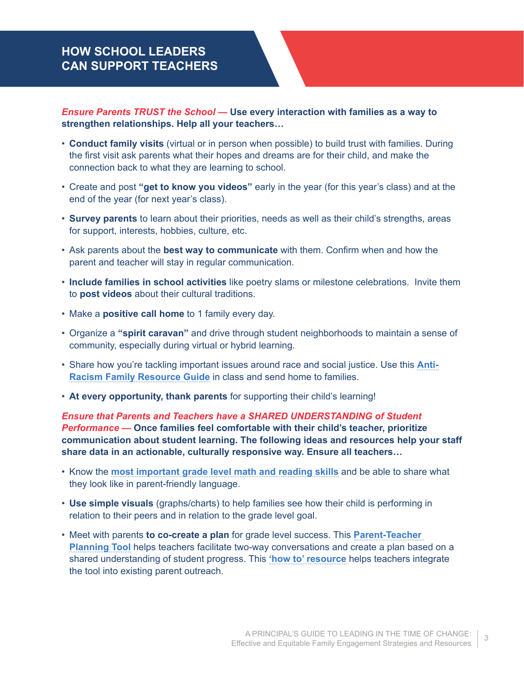# **HOW SCHOOL LEADERS CAN SUPPORT TEACHERS**

*Ensure Parents TRUST the School —* **Use every interaction with families as a way to strengthen relationships. Help all your teachers…**

- **Conduct family visits** (virtual or in person when possible) to build trust with families. During the first visit ask parents what their hopes and dreams are for their child, and make the connection back to what they are learning to school.
- Create and post **"get to know you videos"** early in the year (for this year's class) and at the end of the year (for next year's class).
- **Survey parents** to learn about their priorities, needs as well as their child's strengths, areas for support, interests, hobbies, culture, etc.
- Ask parents about the **best way to communicate** with them. Confirm when and how the parent and teacher will stay in regular communication.
- **Include families in school activities** like poetry slams or milestone celebrations. Invite them to **post videos** about their cultural traditions.
- Make a **positive call home** to 1 family every day.
- Organize a **"spirit caravan"** and drive through student neighborhoods to maintain a sense of community, especially during virtual or hybrid learning.
- Share how you're tackling important issues around race and social justice. Use this **[Anti-](https://r50gh2ss1ic2mww8s3uvjvq1-wpengine.netdna-ssl.com/wp-content/uploads/2020/06/LH_Anti-Racism-Resources-Directory_v6.pdf)[Racism Family Resource Guide](https://r50gh2ss1ic2mww8s3uvjvq1-wpengine.netdna-ssl.com/wp-content/uploads/2020/06/LH_Anti-Racism-Resources-Directory_v6.pdf)** in class and send home to families.
- **At every opportunity, thank parents** for supporting their child's learning!

*Ensure that Parents and Teachers have a SHARED UNDERSTANDING of Student Performance —* **Once families feel comfortable with their child's teacher, prioritize communication about student learning. The following ideas and resources help your staff share data in an actionable, culturally responsive way. Ensure all teachers…**

- Know the **[most important grade level math and reading skills](https://seekcommonground.org/family-guides)** and be able to share what they look like in parent-friendly language.
- **Use simple visuals** (graphs/charts) to help families see how their child is performing in relation to their peers and in relation to the grade level goal.
- Meet with parents **to co-create a plan** for grade level success. This **[Parent-Teacher](https://bealearninghero.org/family-engagement-resources/#tools)  [Planning Tool](https://bealearninghero.org/family-engagement-resources/#tools)** helps teachers facilitate two-way conversations and create a plan based on a shared understanding of student progress. This **['how to' resource](https://r50gh2ss1ic2mww8s3uvjvq1-wpengine.netdna-ssl.com/wp-content/uploads/2020/08/Teacher-Guide-V4.pdf)** helps teachers integrate the tool into existing parent outreach.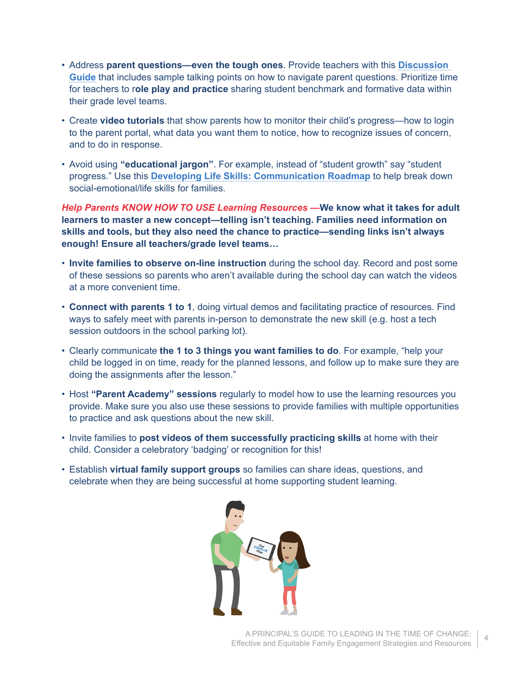- Address **[parent questions](https://bealearninghero.org/askateacher-2/)—even the tough ones**. Provide teachers with this **[Discussion](https://r50gh2ss1ic2mww8s3uvjvq1-wpengine.netdna-ssl.com/wp-content/uploads/2020/08/Teacher-Discussion-Guide-V4.pdf)  [Guide](https://r50gh2ss1ic2mww8s3uvjvq1-wpengine.netdna-ssl.com/wp-content/uploads/2020/08/Teacher-Discussion-Guide-V4.pdf)** that includes sample talking points on how to navigate parent questions. Prioritize time for teachers to r**ole play and practice** sharing student benchmark and formative data within their grade level teams.
- Create **video tutorials** that show parents how to monitor their child's progress—how to login to the parent portal, what data you want them to notice, how to recognize issues of concern, and to do in response.
- Avoid using **"educational jargon"**. For example, instead of "student growth" say "student progress." Use this **[Developing Life Skills:](https://r50gh2ss1ic2mww8s3uvjvq1-wpengine.netdna-ssl.com/wp-content/uploads/2018/05/DLS-Report-2018-for-distribution-single-pages.pdf) [Communication Roadmap](https://r50gh2ss1ic2mww8s3uvjvq1-wpengine.netdna-ssl.com/wp-content/uploads/2018/05/DLS-Report-2018-for-distribution-single-pages.pdf)** to help break down social-emotional/life skills for families.

*Help Parents KNOW HOW TO USE Learning Resources —***We know what it takes for adult learners to master a new concept—telling isn't teaching. Families need information on skills and tools, but they also need the chance to practice—sending links isn't always enough! Ensure all teachers/grade level teams…**

- **Invite families to observe on-line instruction** during the school day. Record and post some of these sessions so parents who aren't available during the school day can watch the videos at a more convenient time.
- **Connect with parents 1 to 1**, doing virtual demos and facilitating practice of resources. Find ways to safely meet with parents in-person to demonstrate the new skill (e.g. host a tech session outdoors in the school parking lot).
- Clearly communicate **the 1 to 3 things you want families to do**. For example, "help your child be logged in on time, ready for the planned lessons, and follow up to make sure they are doing the assignments after the lesson."
- Host **"Parent Academy" sessions** regularly to model how to use the learning resources you provide. Make sure you also use these sessions to provide families with multiple opportunities to practice and ask questions about the new skill.
- Invite families to **post videos of them successfully practicing skills** at home with their child. Consider a celebratory 'badging' or recognition for this!
- Establish **virtual family support groups** so families can share ideas, questions, and celebrate when they are being successful at home supporting student learning.

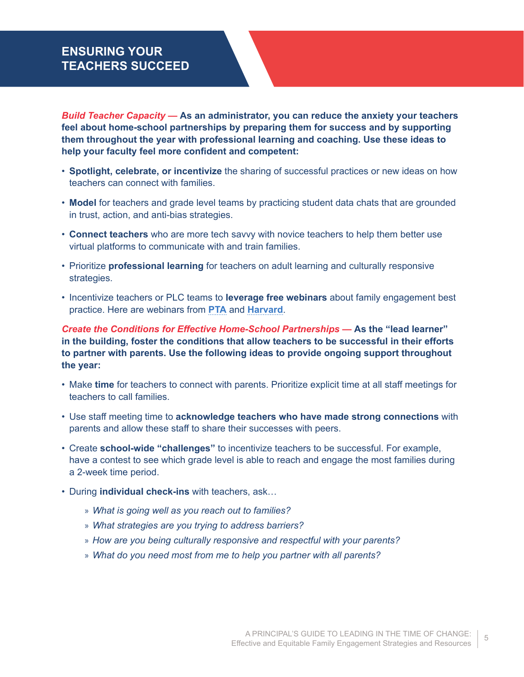# **ENSURING YOUR TEACHERS SUCCEED**

*Build Teacher Capacity —* **As an administrator, you can reduce the anxiety your teachers feel about home-school partnerships by preparing them for success and by supporting them throughout the year with professional learning and coaching. Use these ideas to help your faculty feel more confident and competent:**

- **Spotlight, celebrate, or incentivize** the sharing of successful practices or new ideas on how teachers can connect with families.
- **Model** for teachers and grade level teams by practicing student data chats that are grounded in trust, action, and anti-bias strategies.
- **Connect teachers** who are more tech savvy with novice teachers to help them better use virtual platforms to communicate with and train families.
- Prioritize **professional learning** for teachers on adult learning and culturally responsive strategies.
- Incentivize teachers or PLC teams to **leverage free webinars** about family engagement best practice. Here are webinars from **[PTA](https://www.pta.org/center-for-family-engagement/in-the-field)** and **[Harvard](https://online-learning.harvard.edu/course/introduction-family-engagement-education?delta=1)**.

*Create the Conditions for Effective Home-School Partnerships —* **As the "lead learner" in the building, foster the conditions that allow teachers to be successful in their efforts to partner with parents. Use the following ideas to provide ongoing support throughout the year:**

- Make **time** for teachers to connect with parents. Prioritize explicit time at all staff meetings for teachers to call families.
- Use staff meeting time to **acknowledge teachers who have made strong connections** with parents and allow these staff to share their successes with peers.
- Create **school-wide "challenges"** to incentivize teachers to be successful. For example, have a contest to see which grade level is able to reach and engage the most families during a 2-week time period.
- During **individual check-ins** with teachers, ask…
	- » *What is going well as you reach out to families?*
	- » *What strategies are you trying to address barriers?*
	- » *How are you being culturally responsive and respectful with your parents?*
	- » *What do you need most from me to help you partner with all parents?*